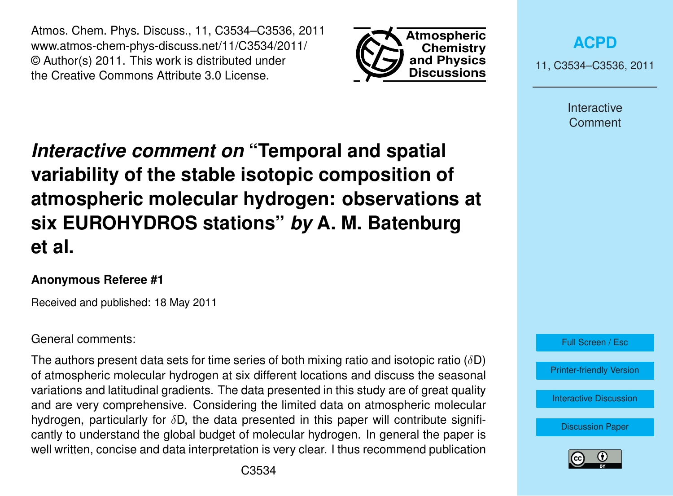Atmos. Chem. Phys. Discuss., 11, C3534–C3536, 2011 www.atmos-chem-phys-discuss.net/11/C3534/2011/ © Author(s) 2011. This work is distributed under the Creative Commons Attribute 3.0 License.



**[ACPD](http://www.atmos-chem-phys-discuss.net)**

11, C3534–C3536, 2011

Interactive Comment

## *Interactive comment on* **"Temporal and spatial variability of the stable isotopic composition of atmospheric molecular hydrogen: observations at six EUROHYDROS stations"** *by* **A. M. Batenburg et al.**

## **Anonymous Referee #1**

Received and published: 18 May 2011

General comments:

The authors present data sets for time series of both mixing ratio and isotopic ratio ( $\delta$ D) of atmospheric molecular hydrogen at six different locations and discuss the seasonal variations and latitudinal gradients. The data presented in this study are of great quality and are very comprehensive. Considering the limited data on atmospheric molecular hydrogen, particularly for  $\delta$ D, the data presented in this paper will contribute significantly to understand the global budget of molecular hydrogen. In general the paper is well written, concise and data interpretation is very clear. I thus recommend publication



[Discussion Paper](http://www.atmos-chem-phys-discuss.net/11/10087/2011/acpd-11-10087-2011.pdf)

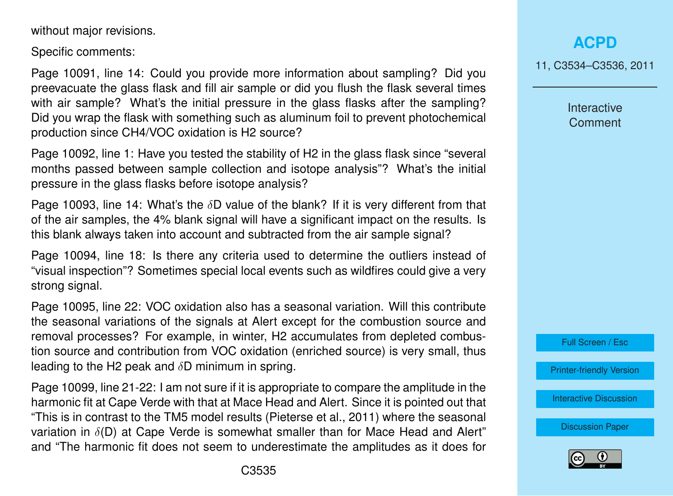without major revisions.

Specific comments:

Page 10091, line 14: Could you provide more information about sampling? Did you preevacuate the glass flask and fill air sample or did you flush the flask several times with air sample? What's the initial pressure in the glass flasks after the sampling? Did you wrap the flask with something such as aluminum foil to prevent photochemical production since CH4/VOC oxidation is H2 source?

Page 10092, line 1: Have you tested the stability of H2 in the glass flask since "several months passed between sample collection and isotope analysis"? What's the initial pressure in the glass flasks before isotope analysis?

Page 10093, line 14: What's the  $\delta$ D value of the blank? If it is very different from that of the air samples, the 4% blank signal will have a significant impact on the results. Is this blank always taken into account and subtracted from the air sample signal?

Page 10094, line 18: Is there any criteria used to determine the outliers instead of "visual inspection"? Sometimes special local events such as wildfires could give a very strong signal.

Page 10095, line 22: VOC oxidation also has a seasonal variation. Will this contribute the seasonal variations of the signals at Alert except for the combustion source and removal processes? For example, in winter, H2 accumulates from depleted combustion source and contribution from VOC oxidation (enriched source) is very small, thus leading to the H2 peak and  $\delta$ D minimum in spring.

Page 10099, line 21-22: I am not sure if it is appropriate to compare the amplitude in the harmonic fit at Cape Verde with that at Mace Head and Alert. Since it is pointed out that "This is in contrast to the TM5 model results (Pieterse et al., 2011) where the seasonal variation in  $\delta(D)$  at Cape Verde is somewhat smaller than for Mace Head and Alert" and "The harmonic fit does not seem to underestimate the amplitudes as it does for

11, C3534–C3536, 2011

Interactive Comment



[Printer-friendly Version](http://www.atmos-chem-phys-discuss.net/11/C3534/2011/acpd-11-C3534-2011-print.pdf)

[Interactive Discussion](http://www.atmos-chem-phys-discuss.net/11/10087/2011/acpd-11-10087-2011-discussion.html)

[Discussion Paper](http://www.atmos-chem-phys-discuss.net/11/10087/2011/acpd-11-10087-2011.pdf)